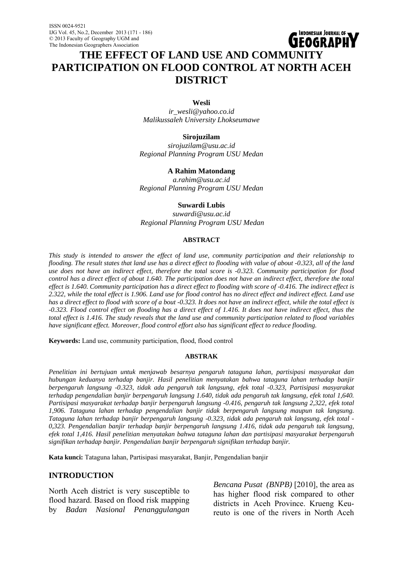# **LIEOGRAPH THE EFFECT OF LAND USE AND COMMUNITY PARTICIPATION ON FLOOD CONTROL AT NORTH ACEH DISTRICT**

INDONESIAN JOURNAL OF **wa** 

#### **Wesli**

*ir\_wesli@yahoo.co.id Malikussaleh University Lhokseumawe* 

## **Sirojuzilam**

*sirojuzilam@usu.ac.id Regional Planning Program USU Medan* 

## **A Rahim Matondang**

*a.rahim@usu.ac.id Regional Planning Program USU Medan* 

#### **Suwardi Lubis**

*suwardi@usu.ac.id Regional Planning Program USU Medan* 

## **ABSTRACT**

*This study is intended to answer the effect of land use, community participation and their relationship to flooding. The result states that land use has a direct effect to flooding with value of about -0.323, all of the land use does not have an indirect effect, therefore the total score is -0.323. Community participation for flood control has a direct effect of about 1.640. The participation does not have an indirect effect, therefore the total effect is 1.640. Community participation has a direct effect to flooding with score of -0.416. The indirect effect is 2.322, while the total effect is 1.906. Land use for flood control has no direct effect and indirect effect. Land use has a direct effect to flood with score of a bout -0.323. It does not have an indirect effect, while the total effect is -0.323. Flood control effect on flooding has a direct effect of 1.416. It does not have indirect effect, thus the total effect is 1.416. The study reveals that the land use and community participation related to flood variables have significant effect. Moreover, flood control effort also has significant effect to reduce flooding.* 

**Keywords:** Land use, community participation, flood, flood control

#### **ABSTRAK**

*Penelitian ini bertujuan untuk menjawab besarnya pengaruh tataguna lahan, partisipasi masyarakat dan hubungan keduanya terhadap banjir. Hasil penelitian menyatakan bahwa tataguna lahan terhadap banjir berpengaruh langsung -0.323, tidak ada pengaruh tak langsung, efek total -0.323, Partisipasi masyarakat terhadap pengendalian banjir berpengaruh langsung 1.640, tidak ada pengaruh tak langsung, efek total 1,640. Partisipasi masyarakat terhadap banjir berpengaruh langsung -0.416, pengaruh tak langsung 2,322, efek total 1,906. Tataguna lahan terhadap pengendalian banjir tidak berpengaruh langsung maupun tak langsung. Tataguna lahan terhadap banjir berpengaruh langsung -0.323, tidak ada pengaruh tak langsung, efek total - 0,323. Pengendalian banjir terhadap banjir berpengaruh langsung 1.416, tidak ada pengaruh tak langsung, efek total 1,416. Hasil penelitian menyatakan bahwa tataguna lahan dan partisipasi masyarakat berpengaruh signifikan terhadap banjir. Pengendalian banjir berpengaruh signifikan terhadap banjir.* 

**Kata kunci:** Tataguna lahan, Partisipasi masyarakat, Banjir, Pengendalian banjir

## **INTRODUCTION**

North Aceh district is very susceptible to flood hazard. Based on flood risk mapping by *Badan Nasional Penanggulangan*  *Bencana Pusat (BNPB)* [2010], the area as has higher flood risk compared to other districts in Aceh Province. Krueng Keureuto is one of the rivers in North Aceh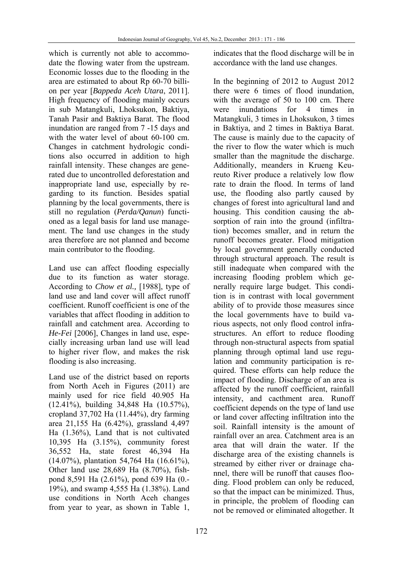which is currently not able to accommodate the flowing water from the upstream. Economic losses due to the flooding in the area are estimated to about Rp 60-70 billion per year [*Bappeda Aceh Utara*, 2011]. High frequency of flooding mainly occurs in sub Matangkuli, Lhoksukon, Baktiya, Tanah Pasir and Baktiya Barat. The flood inundation are ranged from 7 -15 days and with the water level of about 60-100 cm. Changes in catchment hydrologic conditions also occurred in addition to high rainfall intensity. These changes are generated due to uncontrolled deforestation and inappropriate land use, especially by regarding to its function. Besides spatial planning by the local governments, there is still no regulation (*Perda/Qanun*) functioned as a legal basis for land use management. The land use changes in the study area therefore are not planned and become main contributor to the flooding.

Land use can affect flooding especially due to its function as water storage. According to *Chow et al.,* [1988], type of land use and land cover will affect runoff coefficient. Runoff coefficient is one of the variables that affect flooding in addition to rainfall and catchment area. According to *He-Fei* [2006], Changes in land use, especially increasing urban land use will lead to higher river flow, and makes the risk flooding is also increasing.

Land use of the district based on reports from North Aceh in Figures (2011) are mainly used for rice field 40.905 Ha (12.41%), building 34,848 Ha (10.57%), cropland 37,702 Ha (11.44%), dry farming area 21,155 Ha (6.42%), grassland 4,497 Ha (1.36%), Land that is not cultivated 10,395 Ha (3.15%), community forest 36,552 Ha, state forest 46,394 Ha (14.07%), plantation 54,764 Ha (16.61%), Other land use 28,689 Ha (8.70%), fishpond 8,591 Ha (2.61%), pond 639 Ha (0.- 19%), and swamp 4,555 Ha (1.38%). Land use conditions in North Aceh changes from year to year, as shown in Table 1, indicates that the flood discharge will be in accordance with the land use changes.

In the beginning of 2012 to August 2012 there were 6 times of flood inundation, with the average of 50 to 100 cm. There were inundations for 4 times in Matangkuli, 3 times in Lhoksukon, 3 times in Baktiya, and 2 times in Baktiya Barat. The cause is mainly due to the capacity of the river to flow the water which is much smaller than the magnitude the discharge. Additionally, meanders in Krueng Keureuto River produce a relatively low flow rate to drain the flood. In terms of land use, the flooding also partly caused by changes of forest into agricultural land and housing. This condition causing the absorption of rain into the ground (infiltration) becomes smaller, and in return the runoff becomes greater. Flood mitigation by local government generally conducted through structural approach. The result is still inadequate when compared with the increasing flooding problem which generally require large budget. This condition is in contrast with local government ability of to provide those measures since the local governments have to build various aspects, not only flood control infrastructures. An effort to reduce flooding through non-structural aspects from spatial planning through optimal land use regulation and community participation is required. These efforts can help reduce the impact of flooding. Discharge of an area is affected by the runoff coefficient, rainfall intensity, and cacthment area. Runoff coefficient depends on the type of land use or land cover affecting infiltration into the soil. Rainfall intensity is the amount of rainfall over an area. Catchment area is an area that will drain the water. If the discharge area of the existing channels is streamed by either river or drainage channel, there will be runoff that causes flooding. Flood problem can only be reduced, so that the impact can be minimized. Thus, in principle, the problem of flooding can not be removed or eliminated altogether. It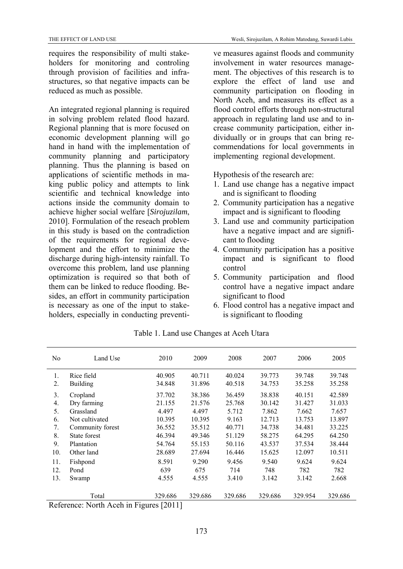requires the responsibility of multi stakeholders for monitoring and controling through provision of facilities and infrastructures, so that negative impacts can be reduced as much as possible.

An integrated regional planning is required in solving problem related flood hazard. Regional planning that is more focused on economic development planning will go hand in hand with the implementation of community planning and participatory planning. Thus the planning is based on applications of scientific methods in making public policy and attempts to link scientific and technical knowledge into actions inside the community domain to achieve higher social welfare [*Sirojuzilam*, 2010]. Formulation of the reseach problem in this study is based on the contradiction of the requirements for regional development and the effort to minimize the discharge during high-intensity rainfall. To overcome this problem, land use planning optimization is required so that both of them can be linked to reduce flooding. Besides, an effort in community participation is necessary as one of the input to stakeholders, especially in conducting preventive measures against floods and community involvement in water resources management. The objectives of this research is to explore the effect of land use and community participation on flooding in North Aceh, and measures its effect as a flood control efforts through non-structural approach in regulating land use and to increase community participation, either individually or in groups that can bring recommendations for local governments in implementing regional development.

Hypothesis of the research are:

- 1. Land use change has a negative impact and is significant to flooding
- 2. Community participation has a negative impact and is significant to flooding
- 3. Land use and community participation have a negative impact and are significant to flooding
- 4. Community participation has a positive impact and is significant to flood control
- 5. Community participation and flood control have a negative impact andare significant to flood
- 6. Flood control has a negative impact and is significant to flooding

| No           | Land Use                                                 | 2010                     | 2009    | 2008    | 2007    | 2006    | 2005    |
|--------------|----------------------------------------------------------|--------------------------|---------|---------|---------|---------|---------|
| 1.           | Rice field                                               | 40.905                   | 40.711  | 40.024  | 39.773  | 39.748  | 39.748  |
| 2.           | <b>Building</b>                                          | 34.848                   | 31.896  | 40.518  | 34.753  | 35.258  | 35.258  |
| 3.           | Cropland                                                 | 37.702                   | 38.386  | 36.459  | 38.838  | 40.151  | 42.589  |
| 4.           | Dry farming                                              | 21.155                   | 21.576  | 25.768  | 30.142  | 31.427  | 31.033  |
| 5.           | Grassland                                                | 4.497                    | 4.497   | 5.712   | 7.862   | 7.662   | 7.657   |
| 6.           | Not cultivated                                           | 10.395                   | 10.395  | 9.163   | 12.713  | 13.753  | 13.897  |
| 7.           | Community forest                                         | 36.552                   | 35.512  | 40.771  | 34.738  | 34.481  | 33.225  |
| 8.           | State forest                                             | 46.394                   | 49.346  | 51.129  | 58.275  | 64.295  | 64.250  |
| 9.           | Plantation                                               | 54.764                   | 55.153  | 50.116  | 43.537  | 37.534  | 38.444  |
| 10.          | Other land                                               | 28.689                   | 27.694  | 16.446  | 15.625  | 12.097  | 10.511  |
| 11.          | Fishpond                                                 | 8.591                    | 9.290   | 9.456   | 9.540   | 9.624   | 9.624   |
| 12.          | Pond                                                     | 639                      | 675     | 714     | 748     | 782     | 782     |
| 13.          | Swamp                                                    | 4.555                    | 4.555   | 3.410   | 3.142   | 3.142   | 2.668   |
| $\mathbf{r}$ | Total<br>$\sim$ $\sim$<br>$\mathbf{r}$<br><b>AT 11 A</b> | 329.686<br><b>FAA111</b> | 329.686 | 329.686 | 329.686 | 329.954 | 329.686 |

Table 1. Land use Changes at Aceh Utara

Reference: North Aceh in Figures [2011]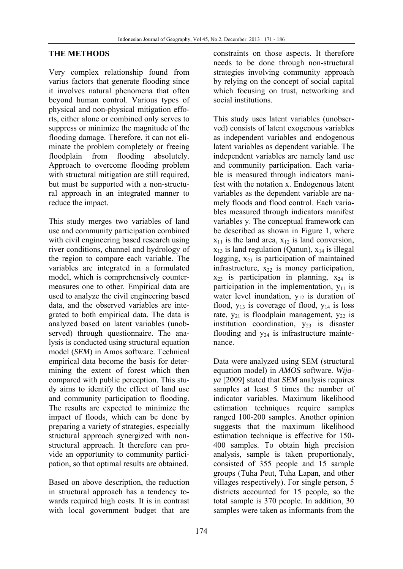## **THE METHODS**

Very complex relationship found from varius factors that generate flooding since it involves natural phenomena that often beyond human control. Various types of physical and non-physical mitigation efforts, either alone or combined only serves to suppress or minimize the magnitude of the flooding damage. Therefore, it can not eliminate the problem completely or freeing floodplain from flooding absolutely. Approach to overcome flooding problem with structural mitigation are still required, but must be supported with a non-structural approach in an integrated manner to reduce the impact.

This study merges two variables of land use and community participation combined with civil engineering based research using river conditions, channel and hydrology of the region to compare each variable. The variables are integrated in a formulated model, which is comprehensively countermeasures one to other. Empirical data are used to analyze the civil engineering based data, and the observed variables are integrated to both empirical data. The data is analyzed based on latent variables (unobserved) through questionnaire. The analysis is conducted using structural equation model (*SEM*) in Amos software. Technical empirical data become the basis for determining the extent of forest which then compared with public perception. This study aims to identify the effect of land use and community participation to flooding. The results are expected to minimize the impact of floods, which can be done by preparing a variety of strategies, especially structural approach synergized with nonstructural approach. It therefore can provide an opportunity to community participation, so that optimal results are obtained.

Based on above description, the reduction in structural approach has a tendency towards required high costs. It is in contrast with local government budget that are constraints on those aspects. It therefore needs to be done through non-structural strategies involving community approach by relying on the concept of social capital which focusing on trust, networking and social institutions.

This study uses latent variables (unobserved) consists of latent exogenous variables as independent variables and endogenous latent variables as dependent variable. The independent variables are namely land use and community participation. Each variable is measured through indicators manifest with the notation x. Endogenous latent variables as the dependent variable are namely floods and flood control. Each variables measured through indicators manifest variables y. The conceptual framework can be described as shown in Figure 1, where  $x_{11}$  is the land area,  $x_{12}$  is land conversion,  $x_{13}$  is land regulation (Qanun),  $x_{14}$  is illegal logging,  $x_{21}$  is participation of maintained infrastructure,  $x_{22}$  is money participation,  $x_{23}$  is participation in planning,  $x_{24}$  is participation in the implementation,  $y_{11}$  is water level inundation,  $y_{12}$  is duration of flood,  $y_{13}$  is coverage of flood,  $y_{14}$  is loss rate,  $y_{21}$  is floodplain management,  $y_{22}$  is institution coordination,  $y_{23}$  is disaster flooding and  $y_{24}$  is infrastructure maintenance.

Data were analyzed using SEM (structural equation model) in *AMOS* software. *Wijaya* [2009] stated that *SEM* analysis requires samples at least 5 times the number of indicator variables. Maximum likelihood estimation techniques require samples ranged 100-200 samples. Another opinion suggests that the maximum likelihood estimation technique is effective for 150- 400 samples. To obtain high precision analysis, sample is taken proportionaly, consisted of 355 people and 15 sample groups (Tuha Peut, Tuha Lapan, and other villages respectively). For single person, 5 districts accounted for 15 people, so the total sample is 370 people. In addition, 30 samples were taken as informants from the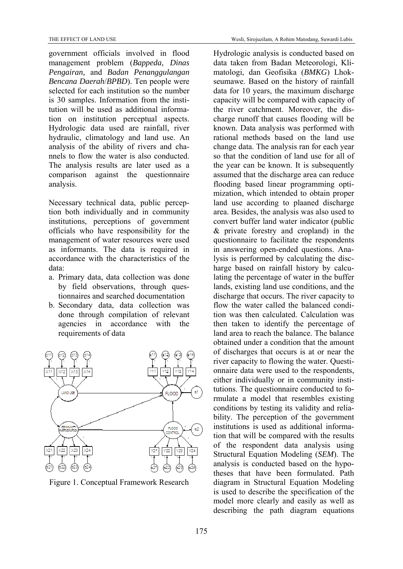government officials involved in flood management problem (*Bappeda, Dinas Pengairan,* and *Badan Penanggulangan Bencana Daerah*/*BPBD*). Ten people were selected for each institution so the number is 30 samples. Information from the institution will be used as additional information on institution perceptual aspects. Hydrologic data used are rainfall, river hydraulic, climatology and land use. An analysis of the ability of rivers and channels to flow the water is also conducted. The analysis results are later used as a comparison against the questionnaire analysis.

Necessary technical data, public perception both individually and in community institutions, perceptions of government officials who have responsibility for the management of water resources were used as informants. The data is required in accordance with the characteristics of the data:

- a. Primary data, data collection was done by field observations, through questionnaires and searched documentation
- b. Secondary data, data collection was done through compilation of relevant agencies in accordance with the requirements of data



Figure 1. Conceptual Framework Research

Hydrologic analysis is conducted based on data taken from Badan Meteorologi, Klimatologi, dan Geofisika (*BMKG*) Lhokseumawe. Based on the history of rainfall data for 10 years, the maximum discharge capacity will be compared with capacity of the river catchment. Moreover, the discharge runoff that causes flooding will be known. Data analysis was performed with rational methods based on the land use change data. The analysis ran for each year so that the condition of land use for all of the year can be known. It is subsequently assumed that the discharge area can reduce flooding based linear programming optimization, which intended to obtain proper land use according to plaaned discharge area. Besides, the analysis was also used to convert buffer land water indicator (public & private forestry and cropland) in the questionnaire to facilitate the respondents in answering open-ended questions. Analysis is performed by calculating the discharge based on rainfall history by calculating the percentage of water in the buffer lands, existing land use conditions, and the discharge that occurs. The river capacity to flow the water called the balanced condition was then calculated. Calculation was then taken to identify the percentage of land area to reach the balance. The balance obtained under a condition that the amount of discharges that occurs is at or near the river capacity to flowing the water. Questionnaire data were used to the respondents, either individually or in community institutions. The questionnaire conducted to formulate a model that resembles existing conditions by testing its validity and reliability. The perception of the government institutions is used as additional information that will be compared with the results of the respondent data analysis using Structural Equation Modeling (*SEM*). The analysis is conducted based on the hypotheses that have been formulated. Path diagram in Structural Equation Modeling is used to describe the specification of the model more clearly and easily as well as describing the path diagram equations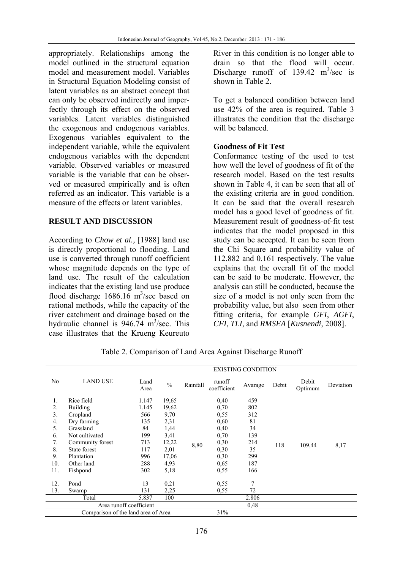appropriately. Relationships among the model outlined in the structural equation model and measurement model. Variables in Structural Equation Modeling consist of latent variables as an abstract concept that can only be observed indirectly and imperfectly through its effect on the observed variables. Latent variables distinguished the exogenous and endogenous variables. Exogenous variables equivalent to the independent variable, while the equivalent endogenous variables with the dependent variable. Observed variables or measured variable is the variable that can be observed or measured empirically and is often referred as an indicator. This variable is a measure of the effects or latent variables.

## **RESULT AND DISCUSSION**

According to *Chow et al.,* [1988] land use is directly proportional to flooding. Land use is converted through runoff coefficient whose magnitude depends on the type of land use. The result of the calculation indicates that the existing land use produce flood discharge  $1686.16 \text{ m}^3/\text{sec}$  based on rational methods, while the capacity of the river catchment and drainage based on the hydraulic channel is  $946.74 \text{ m}^3/\text{sec}$ . This case illustrates that the Krueng Keureuto River in this condition is no longer able to drain so that the flood will occur. Discharge runoff of  $139.42 \text{ m}^3/\text{sec}$  is shown in Table 2.

To get a balanced condition between land use 42% of the area is required. Table 3 illustrates the condition that the discharge will be balanced.

## **Goodness of Fit Test**

Conformance testing of the used to test how well the level of goodness of fit of the research model. Based on the test results shown in Table 4, it can be seen that all of the existing criteria are in good condition. It can be said that the overall research model has a good level of goodness of fit. Measurement result of goodness-of-fit test indicates that the model proposed in this study can be accepted. It can be seen from the Chi Square and probability value of 112.882 and 0.161 respectively. The value explains that the overall fit of the model can be said to be moderate. However, the analysis can still be conducted, because the size of a model is not only seen from the probability value, but also seen from other fitting criteria, for example *GFI*, *AGFI*, *CFI*, *TLI*, and *RMSEA* [*Kusnendi*, 2008].

|     |                                     |              | <b>EXISTING CONDITION</b> |          |                       |         |       |                  |           |
|-----|-------------------------------------|--------------|---------------------------|----------|-----------------------|---------|-------|------------------|-----------|
| No  | <b>LAND USE</b>                     | Land<br>Area | $\frac{0}{0}$             | Rainfall | runoff<br>coefficient | Avarage | Debit | Debit<br>Optimum | Deviation |
| 1.  | Rice field                          | 1.147        | 19,65                     |          | 0,40                  | 459     |       |                  |           |
| 2.  | <b>Building</b>                     | 1.145        | 19,62                     |          | 0,70                  | 802     |       |                  |           |
| 3.  | Cropland                            | 566          | 9,70                      |          | 0,55                  | 312     |       |                  |           |
| 4.  | Dry farming                         | 135          | 2,31                      |          | 0,60                  | 81      |       |                  |           |
| 5.  | Grassland                           | 84           | 1,44                      |          | 0,40                  | 34      |       |                  |           |
| 6.  | Not cultivated                      | 199          | 3,41                      |          | 0,70                  | 139     |       |                  |           |
| 7.  | Community forest                    | 713          | 12,22                     | 8,80     | 0,30                  | 214     | 118   | 109,44           |           |
| 8.  | State forest                        | 117          | 2,01                      |          | 0,30                  | 35      |       |                  | 8,17      |
| 9.  | Plantation                          | 996          | 17,06                     |          | 0,30                  | 299     |       |                  |           |
| 10. | Other land                          | 288          | 4,93                      |          | 0,65                  | 187     |       |                  |           |
| 11. | Fishpond                            | 302          | 5,18                      |          | 0,55                  | 166     |       |                  |           |
| 12. | Pond                                | 13           | 0,21                      |          | 0,55                  | 7       |       |                  |           |
| 13. | Swamp                               | 131          | 2,25                      |          | 0,55                  | 72      |       |                  |           |
|     | Total                               | 5.837        | 100                       |          |                       | 2.806   |       |                  |           |
|     | Area runoff coefficient             |              |                           |          |                       | 0,48    |       |                  |           |
|     | Comparison of the land area of Area |              |                           |          | 31%                   |         |       |                  |           |

Table 2. Comparison of Land Area Against Discharge Runoff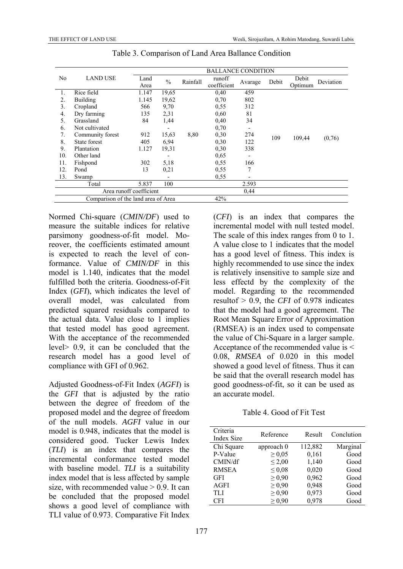|                |                                     | <b>BALLANCE CONDITION</b> |               |          |                       |         |       |                  |           |
|----------------|-------------------------------------|---------------------------|---------------|----------|-----------------------|---------|-------|------------------|-----------|
| N <sub>0</sub> | <b>LAND USE</b>                     | Land<br>Area              | $\frac{0}{0}$ | Rainfall | runoff<br>coefficient | Avarage | Debit | Debit<br>Optimum | Deviation |
| 1.             | Rice field                          | 1.147                     | 19,65         |          | 0,40                  | 459     |       |                  |           |
| 2.             | <b>Building</b>                     | 1.145                     | 19,62         |          | 0,70                  | 802     |       |                  |           |
| 3.             | Cropland                            | 566                       | 9,70          |          | 0,55                  | 312     |       |                  |           |
| 4.             | Dry farming                         | 135                       | 2,31          |          | 0.60                  | 81      |       |                  |           |
| 5.             | Grassland                           | 84                        | 1,44          |          | 0,40                  | 34      |       |                  |           |
| 6.             | Not cultivated                      |                           |               |          | 0.70                  |         |       |                  |           |
| 7.             | Community forest                    | 912                       | 15,63         | 8,80     | 0,30                  | 274     | 109   |                  | (0,76)    |
| 8.             | State forest                        | 405                       | 6.94          |          | 0,30                  | 122     |       | 109,44           |           |
| 9.             | Plantation                          | 1.127                     | 19,31         |          | 0,30                  | 338     |       |                  |           |
| 10.            | Other land                          |                           |               |          | 0.65                  |         |       |                  |           |
| 11.            | Fishpond                            | 302                       | 5,18          |          | 0,55                  | 166     |       |                  |           |
| 12.            | Pond                                | 13                        | 0,21          |          | 0,55                  | 7       |       |                  |           |
| 13.            | Swamp                               |                           |               |          | 0,55                  |         |       |                  |           |
|                | Total                               | 5.837                     | 100           |          |                       | 2.593   |       |                  |           |
|                |                                     | Area runoff coefficient   |               |          |                       | 0,44    |       |                  |           |
|                | Comparison of the land area of Area |                           |               |          | 42%                   |         |       |                  |           |

Table 3. Comparison of Land Area Ballance Condition

Normed Chi-square (*CMIN/DF*) used to measure the suitable indices for relative parsimony goodness-of-fit model. Moreover, the coefficients estimated amount is expected to reach the level of conformance. Value of *CMIN/DF* in this model is 1.140, indicates that the model fulfilled both the criteria. Goodness-of-Fit Index (*GFI*), which indicates the level of overall model, was calculated from predicted squared residuals compared to the actual data. Value close to 1 implies that tested model has good agreement. With the acceptance of the recommended level> 0.9, it can be concluded that the research model has a good level of compliance with GFI of 0.962.

Adjusted Goodness-of-Fit Index (*AGFI*) is the *GFI* that is adjusted by the ratio between the degree of freedom of the proposed model and the degree of freedom of the null models. *AGFI* value in our model is 0.948, indicates that the model is considered good. Tucker Lewis Index (*TLI*) is an index that compares the incremental conformance tested model with baseline model. *TLI* is a suitability index model that is less affected by sample size, with recommended value  $> 0.9$ . It can be concluded that the proposed model shows a good level of compliance with TLI value of 0.973. Comparative Fit Index

(*CFI*) is an index that compares the incremental model with null tested model. The scale of this index ranges from 0 to 1. A value close to 1 indicates that the model has a good level of fitness. This index is highly recommended to use since the index is relatively insensitive to sample size and less effectd by the complexity of the model. Regarding to the recommended resultof  $> 0.9$  the *CFI* of 0.978 indicates that the model had a good agreement. The Root Mean Square Error of Approximation (RMSEA) is an index used to compensate the value of Chi-Square in a larger sample. Acceptance of the recommended value is < 0.08, *RMSEA* of 0.020 in this model showed a good level of fitness. Thus it can be said that the overall research model has good goodness-of-fit, so it can be used as an accurate model.

Table 4. Good of Fit Test

| Criteria<br>Index Size | Reference   | Result  | Conclution |
|------------------------|-------------|---------|------------|
| Chi Square             | approach 0  | 112,882 | Marginal   |
| P-Value                | $\geq 0.05$ | 0,161   | Good       |
| CMIN/df                | $\leq 2,00$ | 1,140   | Good       |
| <b>RMSEA</b>           | $\leq 0.08$ | 0,020   | Good       |
| <b>GFI</b>             | $\geq 0.90$ | 0,962   | Good       |
| <b>AGFI</b>            | $\geq 0.90$ | 0,948   | Good       |
| <b>TLI</b>             | $\geq 0.90$ | 0,973   | Good       |
| <b>CFI</b>             | $\geq 0.90$ | 0,978   | Good       |
|                        |             |         |            |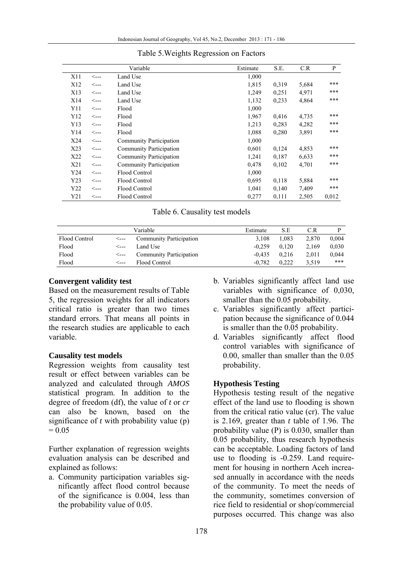|                 |      | Variable                       | Estimate | S.E.  | C.R   | P     |
|-----------------|------|--------------------------------|----------|-------|-------|-------|
| X11             | <--- | Land Use                       | 1,000    |       |       |       |
| X <sub>12</sub> | <--- | Land Use                       | 1,815    | 0,319 | 5,684 | ***   |
| X13             | <--- | Land Use                       | 1,249    | 0.251 | 4,971 | ***   |
| X14             | <--- | Land Use                       | 1,132    | 0,233 | 4,864 | ***   |
| Y11             | <--- | Flood                          | 1,000    |       |       |       |
| Y12             | <--- | Flood                          | 1,967    | 0,416 | 4,735 | ***   |
| Y13             | <--- | Flood                          | 1,213    | 0.283 | 4,282 | ***   |
| Y14             | <--- | Flood                          | 1,088    | 0,280 | 3,891 | ***   |
| X24             | <--- | <b>Community Participation</b> | 1,000    |       |       |       |
| X23             | <--- | <b>Community Participation</b> | 0,601    | 0,124 | 4,853 | ***   |
| X22             | <--- | <b>Community Participation</b> | 1,241    | 0,187 | 6,633 | $***$ |
| X21             | <--- | <b>Community Participation</b> | 0,478    | 0,102 | 4,701 | $***$ |
| Y24             | <--- | Flood Control                  | 1,000    |       |       |       |
| Y23             | <--- | Flood Control                  | 0,695    | 0,118 | 5,884 | ***   |
| Y22             | <--- | Flood Control                  | 1,041    | 0,140 | 7,409 | ***   |
| Y21             | <--- | Flood Control                  | 0,277    | 0,111 | 2,505 | 0.012 |

#### Table 5.Weights Regression on Factors

|               |      | Variable                       | Estimate | S.E   | C.R   |       |
|---------------|------|--------------------------------|----------|-------|-------|-------|
| Flood Control |      | <b>Community Participation</b> | 3.108    | 1.083 | 2.870 | 0.004 |
| Flood         | <--- | Land Use                       | $-0.259$ | 0.120 | 2.169 | 0.030 |
| Flood         | <--- | <b>Community Participation</b> | $-0.435$ | 0.216 | 2.011 | 0.044 |
| Flood         | <--- | Flood Control                  | $-0.782$ | 0.222 | 3.519 | ***   |

## **Convergent validity test**

Based on the measurement results of Table 5, the regression weights for all indicators critical ratio is greater than two times standard errors. That means all points in the research studies are applicable to each variable.

## **Causality test models**

Regression weights from causality test result or effect between variables can be analyzed and calculated through *AMOS* statistical program. In addition to the degree of freedom (df), the value of *t* or *cr* can also be known, based on the significance of *t* with probability value (p)  $= 0.05$ 

Further explanation of regression weights evaluation analysis can be described and explained as follows:

a. Community participation variables significantly affect flood control because of the significance is 0.004, less than the probability value of 0.05.

- b. Variables significantly affect land use variables with significance of 0,030, smaller than the 0.05 probability.
- c. Variables significantly affect participation because the significance of 0.044 is smaller than the 0.05 probability.
- d. Variables significantly affect flood control variables with significance of 0.00, smaller than smaller than the 0.05 probability.

## **Hypothesis Testing**

Hypothesis testing result of the negative effect of the land use to flooding is shown from the critical ratio value (cr). The value is 2.169, greater than *t* table of 1.96. The probability value (P) is 0.030, smaller than 0.05 probability, thus research hypothesis can be acceptable. Loading factors of land use to flooding is -0.259. Land requirement for housing in northern Aceh increased annually in accordance with the needs of the community. To meet the needs of the community, sometimes conversion of rice field to residential or shop/commercial purposes occurred. This change was also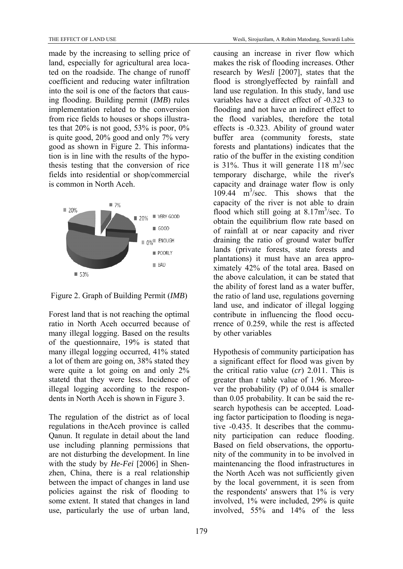made by the increasing to selling price of land, especially for agricultural area located on the roadside. The change of runoff coefficient and reducing water infiltration into the soil is one of the factors that causing flooding. Building permit (*IMB*) rules implementation related to the conversion from rice fields to houses or shops illustrates that 20% is not good, 53% is poor, 0% is quite good, 20% good and only 7% very good as shown in Figure 2. This information is in line with the results of the hypothesis testing that the conversion of rice fields into residential or shop/commercial is common in North Aceh.



Figure 2. Graph of Building Permit (*IMB*)

Forest land that is not reaching the optimal ratio in North Aceh occurred because of many illegal logging. Based on the results of the questionnaire, 19% is stated that many illegal logging occurred, 41% stated a lot of them are going on, 38% stated they were quite a lot going on and only 2% statetd that they were less. Incidence of illegal logging according to the respondents in North Aceh is shown in Figure 3.

The regulation of the district as of local regulations in theAceh province is called Qanun. It regulate in detail about the land use including planning permissions that are not disturbing the development. In line with the study by *He-Fei* [2006] in Shenzhen, China, there is a real relationship between the impact of changes in land use policies against the risk of flooding to some extent. It stated that changes in land use, particularly the use of urban land,

causing an increase in river flow which makes the risk of flooding increases. Other research by *Wesli* [2007], states that the flood is stronglyeffected by rainfall and land use regulation. In this study, land use variables have a direct effect of -0.323 to flooding and not have an indirect effect to the flood variables, therefore the total effects is -0.323. Ability of ground water buffer area (community forests, state forests and plantations) indicates that the ratio of the buffer in the existing condition is 31%. Thus it will generate  $118 \text{ m}^3/\text{sec}$ temporary discharge, while the river's capacity and drainage water flow is only 109.44 m<sup>3</sup>/sec. This shows that the capacity of the river is not able to drain flood which still going at  $8.17 \text{m}^3/\text{sec}$ . To obtain the equilibrium flow rate based on of rainfall at or near capacity and river draining the ratio of ground water buffer lands (private forests, state forests and plantations) it must have an area approximately 42% of the total area. Based on the above calculation, it can be stated that the ability of forest land as a water buffer, the ratio of land use, regulations governing land use, and indicator of illegal logging contribute in influencing the flood occurrence of 0.259, while the rest is affected by other variables

Hypothesis of community participation has a significant effect for flood was given by the critical ratio value (*cr*) 2.011. This is greater than *t* table value of 1.96. Moreover the probability (P) of 0.044 is smaller than 0.05 probability. It can be said the research hypothesis can be accepted. Loading factor participation to flooding is negative -0.435. It describes that the community participation can reduce flooding. Based on field observations, the opportunity of the community in to be involved in maintenancing the flood infrastructures in the North Aceh was not sufficiently given by the local government, it is seen from the respondents' answers that  $1\%$  is very involved, 1% were included, 29% is quite involved, 55% and 14% of the less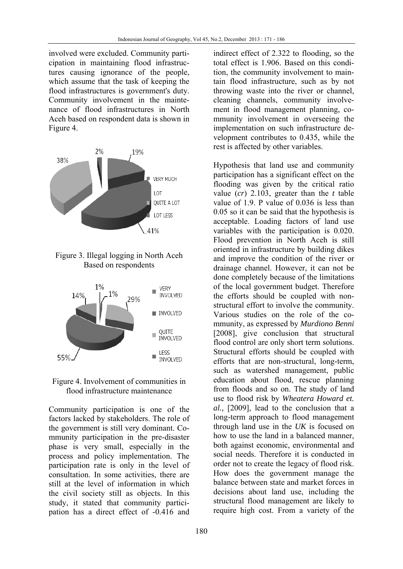involved were excluded. Community participation in maintaining flood infrastructures causing ignorance of the people, which assume that the task of keeping the flood infrastructures is government's duty. Community involvement in the maintenance of flood infrastructures in North Aceh based on respondent data is shown in Figure 4.



Figure 3. Illegal logging in North Aceh Based on respondents



Figure 4. Involvement of communities in flood infrastructure maintenance

Community participation is one of the factors lacked by stakeholders. The role of the government is still very dominant. Community participation in the pre-disaster phase is very small, especially in the process and policy implementation. The participation rate is only in the level of consultation. In some activities, there are still at the level of information in which the civil society still as objects. In this study, it stated that community participation has a direct effect of -0.416 and indirect effect of 2.322 to flooding, so the total effect is 1.906. Based on this condition, the community involvement to maintain flood infrastructure, such as by not throwing waste into the river or channel, cleaning channels, community involvement in flood management planning, community involvement in overseeing the implementation on such infrastructure development contributes to 0.435, while the rest is affected by other variables.

Hypothesis that land use and community participation has a significant effect on the flooding was given by the critical ratio value (*cr*) 2.103, greater than the *t* table value of 1.9. P value of 0.036 is less than 0.05 so it can be said that the hypothesis is acceptable. Loading factors of land use variables with the participation is 0.020. Flood prevention in North Aceh is still oriented in infrastructure by building dikes and improve the condition of the river or drainage channel. However, it can not be done completely because of the limitations of the local government budget. Therefore the efforts should be coupled with nonstructural effort to involve the community. Various studies on the role of the community, as expressed by *Murdiono Benni* [2008], give conclusion that structural flood control are only short term solutions. Structural efforts should be coupled with efforts that are non-structural, long-term, such as watershed management, public education about flood, rescue planning from floods and so on. The study of land use to flood risk by *Wheatera Howard et. al.,* [2009], lead to the conclusion that a long-term approach to flood management through land use in the *UK* is focused on how to use the land in a balanced manner, both against economic, environmental and social needs. Therefore it is conducted in order not to create the legacy of flood risk. How does the government manage the balance between state and market forces in decisions about land use, including the structural flood management are likely to require high cost. From a variety of the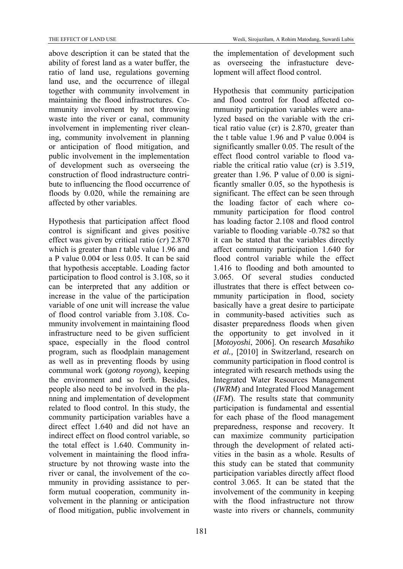above description it can be stated that the ability of forest land as a water buffer, the ratio of land use, regulations governing land use, and the occurrence of illegal together with community involvement in maintaining the flood infrastructures. Community involvement by not throwing waste into the river or canal, community involvement in implementing river cleaning, community involvement in planning or anticipation of flood mitigation, and public involvement in the implementation of development such as overseeing the construction of flood indrastructure contribute to influencing the flood occurrence of floods by 0.020, while the remaining are affected by other variables.

Hypothesis that participation affect flood control is significant and gives positive effect was given by critical ratio (*cr*) 2.870 which is greater than *t* table value 1.96 and a P value 0.004 or less 0.05. It can be said that hypothesis acceptable. Loading factor participation to flood control is 3.108, so it can be interpreted that any addition or increase in the value of the participation variable of one unit will increase the value of flood control variable from 3.108. Community involvement in maintaining flood infrastructure need to be given sufficient space, especially in the flood control program, such as floodplain management as well as in preventing floods by using communal work (*gotong royong*), keeping the environment and so forth. Besides, people also need to be involved in the planning and implementation of development related to flood control. In this study, the community participation variables have a direct effect 1.640 and did not have an indirect effect on flood control variable, so the total effect is 1.640. Community involvement in maintaining the flood infrastructure by not throwing waste into the river or canal, the involvement of the community in providing assistance to perform mutual cooperation, community involvement in the planning or anticipation of flood mitigation, public involvement in the implementation of development such as overseeing the infrastucture development will affect flood control.

Hypothesis that community participation and flood control for flood affected community participation variables were analyzed based on the variable with the critical ratio value (cr) is 2.870, greater than the t table value 1.96 and P value 0.004 is significantly smaller 0.05. The result of the effect flood control variable to flood variable the critical ratio value (cr) is 3.519, greater than 1.96. P value of 0.00 is significantly smaller 0.05, so the hypothesis is significant. The effect can be seen through the loading factor of each where community participation for flood control has loading factor 2.108 and flood control variable to flooding variable -0.782 so that it can be stated that the variables directly affect community participation 1.640 for flood control variable while the effect 1.416 to flooding and both amounted to 3.065. Of several studies conducted illustrates that there is effect between community participation in flood, society basically have a great desire to participate in community-based activities such as disaster preparedness floods when given the opportunity to get involved in it [*Motoyoshi*, 2006]. On research *Masahiko et al.,* [2010] in Switzerland, research on community participation in flood control is integrated with research methods using the Integrated Water Resources Management (*IWRM*) and Integrated Flood Management (*IFM*). The results state that community participation is fundamental and essential for each phase of the flood management preparedness, response and recovery. It can maximize community participation through the development of related activities in the basin as a whole. Results of this study can be stated that community participation variables directly affect flood control 3.065. It can be stated that the involvement of the community in keeping with the flood infrastructure not throw waste into rivers or channels, community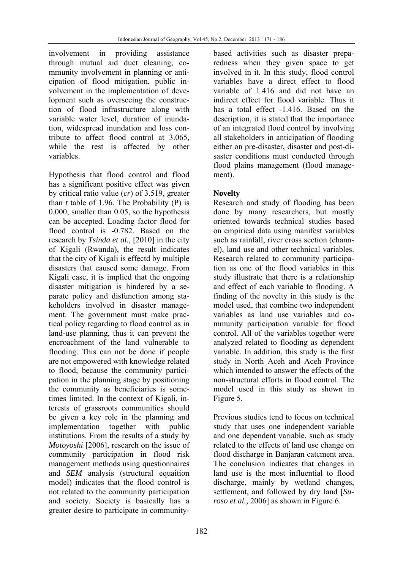involvement in providing assistance through mutual aid duct cleaning, community involvement in planning or anticipation of flood mitigation, public involvement in the implementation of development such as overseeing the construction of flood infrastructure along with variable water level, duration of inundation, widespread inundation and loss contribute to affect flood control at 3.065, while the rest is affected by other variables.

Hypothesis that flood control and flood has a significant positive effect was given by critical ratio value (*cr*) of 3.519, greater than  $t$  table of 1.96. The Probability  $(P)$  is 0.000, smaller than 0.05, so the hypothesis can be accepted. Loading factor flood for flood control is -0.782. Based on the research by *Tsinda et al.,* [2010] in the city of Kigali (Rwanda), the result indicates that the city of Kigali is effectd by multiple disasters that caused some damage. From Kigali case, it is implied that the ongoing disaster mitigation is hindered by a separate policy and disfunction among stakeholders involved in disaster management. The government must make practical policy regarding to flood control as in land-use planning, thus it can prevent the encroachment of the land vulnerable to flooding. This can not be done if people are not empowered with knowledge related to flood, because the community participation in the planning stage by positioning the community as beneficiaries is sometimes limited. In the context of Kigali, interests of grassroots communities should be given a key role in the planning and implementation together with public institutions. From the results of a study by *Motoyoshi* [2006], research on the issue of community participation in flood risk management methods using questionnaires and *SEM* analysis (structural equaition model) indicates that the flood control is not related to the community participation and society. Society is basically has a greater desire to participate in communitybased activities such as disaster preparedness when they given space to get involved in it. In this study, flood control variables have a direct effect to flood variable of 1.416 and did not have an indirect effect for flood variable. Thus it has a total effect -1.416. Based on the description, it is stated that the importance of an integrated flood control by involving all stakeholders in anticipation of flooding either on pre-disaster, disaster and post-disaster conditions must conducted through flood plains management (flood management).

# **Novelty**

Research and study of flooding has been done by many researchers, but mostly oriented towards technical studies based on empirical data using manifest variables such as rainfall, river cross section (channel), land use and other technical variables. Research related to community participation as one of the flood variables in this study illustrate that there is a relationship and effect of each variable to flooding. A finding of the novelty in this study is the model used, that combine two independent variables as land use variables and community participation variable for flood control. All of the variables together were analyzed related to flooding as dependent variable. In addition, this study is the first study in North Aceh and Aceh Province which intended to answer the effects of the non-structural efforts in flood control. The model used in this study as shown in Figure 5.

Previous studies tend to focus on technical study that uses one independent variable and one dependent variable, such as study related to the effects of land use change on flood discharge in Banjaran catcment area. The conclusion indicates that changes in land use is the most influential to flood discharge, mainly by wetland changes, settlement, and followed by dry land [*Suroso et al.,* 2006] as shown in Figure 6.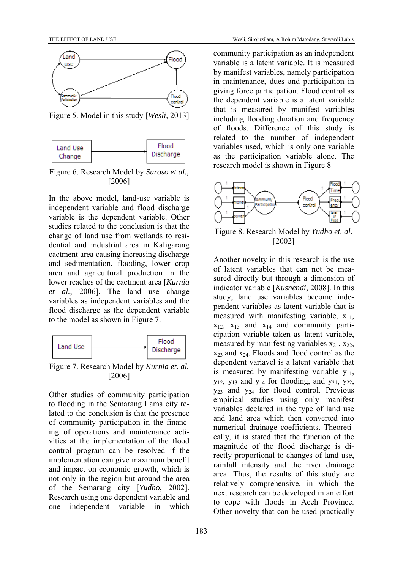

Figure 5. Model in this study [*Wesli*, 2013]



Figure 6. Research Model by *Suroso et al.,* [2006]

In the above model, land-use variable is independent variable and flood discharge variable is the dependent variable. Other studies related to the conclusion is that the change of land use from wetlands to residential and industrial area in Kaligarang cactment area causing increasing discharge and sedimentation, flooding, lower crop area and agricultural production in the lower reaches of the cactment area [*Kurnia et al.*, 2006]. The land use change variables as independent variables and the flood discharge as the dependent variable to the model as shown in Figure 7.



Figure 7. Research Model by *Kurnia et. al.*  [2006]

Other studies of community participation to flooding in the Semarang Lama city related to the conclusion is that the presence of community participation in the financing of operations and maintenance activities at the implementation of the flood control program can be resolved if the implementation can give maximum benefit and impact on economic growth, which is not only in the region but around the area of the Semarang city [*Yudho*, 2002]. Research using one dependent variable and one independent variable in which community participation as an independent variable is a latent variable. It is measured by manifest variables, namely participation in maintenance, dues and participation in giving force participation. Flood control as the dependent variable is a latent variable that is measured by manifest variables including flooding duration and frequency of floods. Difference of this study is related to the number of independent variables used, which is only one variable as the participation variable alone. The research model is shown in Figure 8



Figure 8. Research Model by *Yudho et. al.*  [2002]

Another novelty in this research is the use of latent variables that can not be measured directly but through a dimension of indicator variable [*Kusnendi*, 2008]. In this study, land use variables become independent variables as latent variable that is measured with manifesting variable,  $x_{11}$ ,  $x_{12}$ ,  $x_{13}$  and  $x_{14}$  and community participation variable taken as latent variable, measured by manifesting variables  $x_{21}$ ,  $x_{22}$ ,  $x_{23}$  and  $x_{24}$ . Floods and flood control as the dependent variavel is a latent variable that is measured by manifesting variable  $v_{11}$ ,  $y_{12}$ ,  $y_{13}$  and  $y_{14}$  for flooding, and  $y_{21}$ ,  $y_{22}$ ,  $y_{23}$  and  $y_{24}$  for flood control. Previous empirical studies using only manifest variables declared in the type of land use and land area which then converted into numerical drainage coefficients. Theoretically, it is stated that the function of the magnitude of the flood discharge is directly proportional to changes of land use, rainfall intensity and the river drainage area. Thus, the results of this study are relatively comprehensive, in which the next research can be developed in an effort to cope with floods in Aceh Province. Other novelty that can be used practically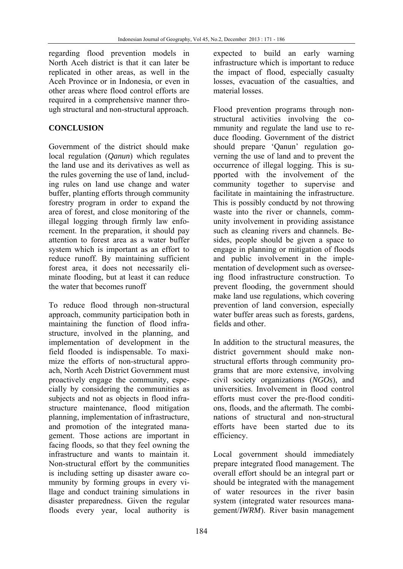regarding flood prevention models in North Aceh district is that it can later be replicated in other areas, as well in the Aceh Province or in Indonesia, or even in other areas where flood control efforts are required in a comprehensive manner through structural and non-structural approach.

## **CONCLUSION**

Government of the district should make local regulation (*Qanun*) which regulates the land use and its derivatives as well as the rules governing the use of land, including rules on land use change and water buffer, planting efforts through community forestry program in order to expand the area of forest, and close monitoring of the illegal logging through firmly law enforcement. In the preparation, it should pay attention to forest area as a water buffer system which is important as an effort to reduce runoff. By maintaining sufficient forest area, it does not necessarily eliminate flooding, but at least it can reduce the water that becomes runoff

To reduce flood through non-structural approach, community participation both in maintaining the function of flood infrastructure, involved in the planning, and implementation of development in the field flooded is indispensable. To maximize the efforts of non-structural approach, North Aceh District Government must proactively engage the community, especially by considering the communities as subjects and not as objects in flood infrastructure maintenance, flood mitigation planning, implementation of infrastructure, and promotion of the integrated management. Those actions are important in facing floods, so that they feel owning the infrastructure and wants to maintain it. Non-structural effort by the communities is including setting up disaster aware community by forming groups in every village and conduct training simulations in disaster preparedness. Given the regular floods every year, local authority is

expected to build an early warning infrastructure which is important to reduce the impact of flood, especially casualty losses, evacuation of the casualties, and material losses.

Flood prevention programs through nonstructural activities involving the community and regulate the land use to reduce flooding. Government of the district should prepare 'Qanun' regulation governing the use of land and to prevent the occurrence of illegal logging. This is supported with the involvement of the community together to supervise and facilitate in maintaining the infrastructure. This is possibly conductd by not throwing waste into the river or channels, community involvement in providing assistance such as cleaning rivers and channels. Besides, people should be given a space to engage in planning or mitigation of floods and public involvement in the implementation of development such as overseeing flood infrastructure construction. To prevent flooding, the government should make land use regulations, which covering prevention of land conversion, especially water buffer areas such as forests, gardens, fields and other.

In addition to the structural measures, the district government should make nonstructural efforts through community programs that are more extensive, involving civil society organizations (*NGOs*), and universities. Involvement in flood control efforts must cover the pre-flood conditions, floods, and the aftermath. The combinations of structural and non-structural efforts have been started due to its efficiency.

Local government should immediately prepare integrated flood management. The overall effort should be an integral part or should be integrated with the management of water resources in the river basin system (integrated water resources management/*IWRM*). River basin management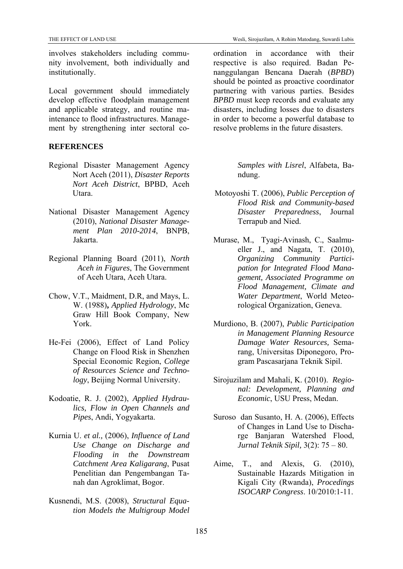involves stakeholders including community involvement, both individually and institutionally.

Local government should immediately develop effective floodplain management and applicable strategy, and routine maintenance to flood infrastructures. Management by strengthening inter sectoral co-

## **REFERENCES**

- Regional Disaster Management Agency Nort Aceh (2011), *Disaster Reports Nort Aceh District*, BPBD, Aceh Utara.
- National Disaster Management Agency (2010), *National Disaster Management Plan 2010-2014*, BNPB, Jakarta.
- Regional Planning Board (2011), *North Aceh in Figures*, The Government of Aceh Utara, Aceh Utara.
- Chow, V.T., Maidment, D.R, and Mays, L. W. (1988)**,** *Applied Hydrology*, Mc Graw Hill Book Company, New York.
- He-Fei (2006), Effect of Land Policy Change on Flood Risk in Shenzhen Special Economic Region, *College of Resources Science and Technology*, Beijing Normal University.
- Kodoatie, R. J. (2002), *Applied Hydraulics, Flow in Open Channels and Pipes*, Andi, Yogyakarta.
- Kurnia U. *et al.,* (2006), *Influence of Land Use Change on Discharge and Flooding in the Downstream Catchment Area Kaligarang*, Pusat Penelitian dan Pengembangan Tanah dan Agroklimat, Bogor.
- Kusnendi, M.S. (2008), *Structural Equation Models the Multigroup Model*

ordination in accordance with their respective is also required. Badan Penanggulangan Bencana Daerah (*BPBD*) should be pointed as proactive coordinator partnering with various parties. Besides *BPBD* must keep records and evaluate any disasters, including losses due to disasters in order to become a powerful database to resolve problems in the future disasters.

> *Samples with Lisrel*, Alfabeta, Bandung.

- Motoyoshi T. (2006), *Public Perception of Flood Risk and Community-based Disaster Preparedness*, Journal Terrapub and Nied.
- Murase, M., Tyagi-Avinash, C., Saalmueller J., and Nagata, T. (2010), *Organizing Community Participation for Integrated Flood Management, Associated Programme on Flood Management, Climate and Water Department*, World Meteorological Organization, Geneva.
- Murdiono, B. (2007), *Public Participation in Management Planning Resource Damage Water Resources,* Semarang, Universitas Diponegoro, Program Pascasarjana Teknik Sipil.
- Sirojuzilam and Mahali, K. (2010). *Regional: Development, Planning and Economic*, USU Press, Medan.
- Suroso dan Susanto, H. A. (2006), Effects of Changes in Land Use to Discharge Banjaran Watershed Flood, *Jurnal Teknik Sipil,* 3(2): 75 – 80.
- Aime, T., and Alexis, G. (2010), Sustainable Hazards Mitigation in Kigali City (Rwanda), *Procedings ISOCARP Congress*. 10/2010:1-11.